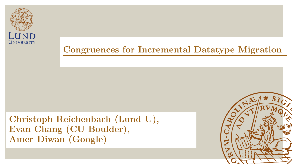

**Christoph Reichenbach (Lund U), Evan Chang (CU Boulder), Amer Diwan (Google)**

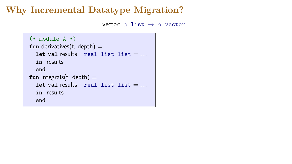```
(* module A *)
fun derivatives(f, depth) =
  let val results: real list list = ...in results
  end
fun integrals(f, depth) =let val results: real list list = ...in results
  end
```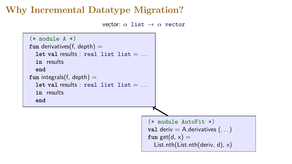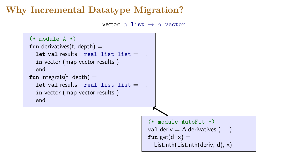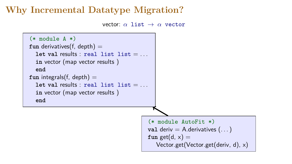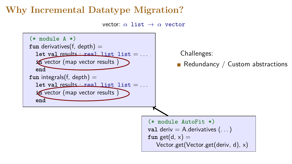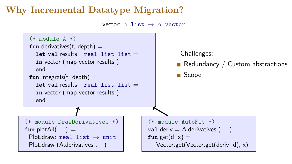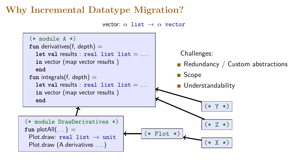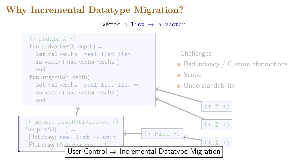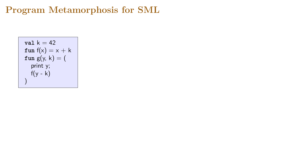$$
\begin{array}{l} \mathtt{val}\ \mathtt{k} = 42 \\ \mathtt{fun}\ \mathtt{f(x)} = \mathtt{x} + \mathtt{k} \\ \mathtt{fun}\ \mathtt{g(y, k)} = ( \\ \mathtt{print}\ \mathtt{y}; \\ \mathtt{f(y - k)} \\ ) \end{array}
$$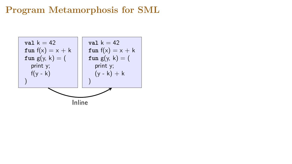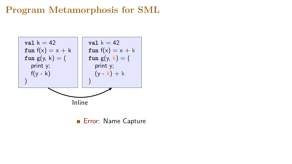

**Error: Name Capture**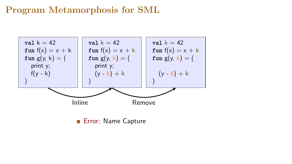

Error: Name Capture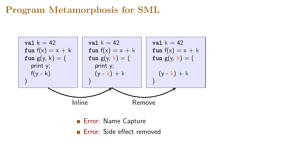

**Error:** Side effect removed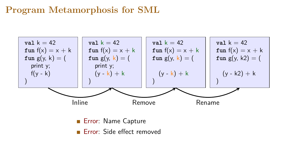

**Error:** Side effect removed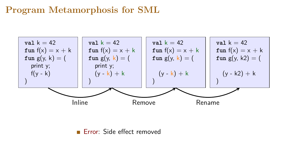

**Error:** Side effect removed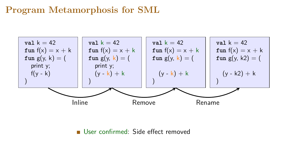

User confirmed: Side effect removed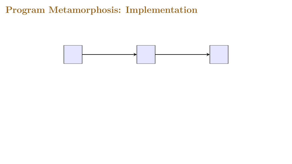**Program Metamorphosis: Implementation**

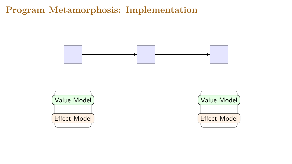**Program Metamorphosis: Implementation**

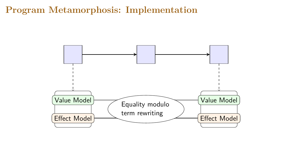#### **Program Metamorphosis: Implementation**

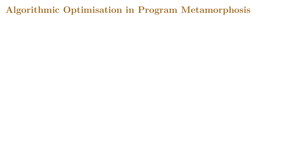**Algorithmic Optimisation in Program Metamorphosis**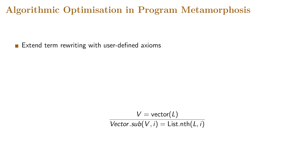#### **Algorithmic Optimisation in Program Metamorphosis**

Extend term rewriting with user-defined axioms

$$
V = vector(L)
$$
  
Vector.sub $(V, i)$  = List.nth $(L, i)$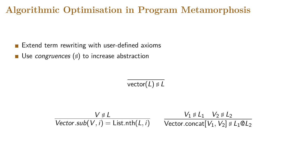## **Algorithmic Optimisation in Program Metamorphosis**

- $\blacksquare$  Extend term rewriting with user-defined axioms
- Use congruences  $(\triangle)$  to increase abstraction

vector $(L) \otimes L$ 

$$
\frac{V \mathop{\not\in} L}{\text{Vector.sub}(V,i) = \text{List.int}(L,i)} \qquad \frac{V_1 \mathop{\not\in} L_1 \quad V_2 \mathop{\not\in} L_2}{\text{Vector.concat}[V_1, V_2] \mathop{\not\in} L_1 \mathop{\otimes} L_2}
$$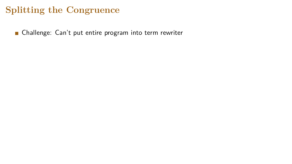Challenge: Can't put entire program into term rewriter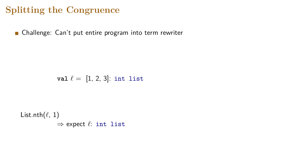**n** Challenge: Can't put entire program into term rewriter

**val**  $\ell = [1, 2, 3]$ : int list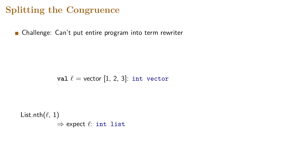**n** Challenge: Can't put entire program into term rewriter

**val**  $\ell$  = vector [1, 2, 3]: int vector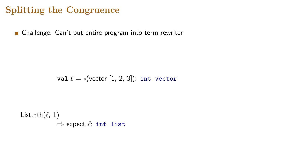**n** Challenge: Can't put entire program into term rewriter

**val**  $\ell = \sqrt{\text{vector} [1, 2, 3]}$ : int vector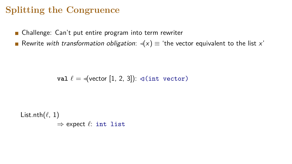■ Challenge: Can't put entire program into term rewriter

Rewrite with transformation obligation:  $\triangleleft(x) \equiv$  'the vector equivalent to the list x'

**val**  $\ell = \sqrt{\text{vector} [1, 2, 3]}$ :  $\sqrt{\text{int vector}}$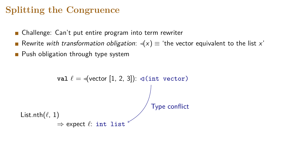- Challenge: Can't put entire program into term rewriter
- Rewrite with transformation obligation:  $\triangleleft(x) \equiv$  'the vector equivalent to the list x'
- **Push obligation through type system**

```
val \ell = \sqrt{\text{vector} [1, 2, 3]}: \sqrt{\text{int vector}}List.nth(\ell, 1)⇒ expect `: int list
                                                     Type conflict
```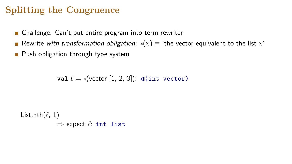- Challenge: Can't put entire program into term rewriter
- Rewrite with transformation obligation:  $\triangleleft(x) \equiv$  'the vector equivalent to the list x'
- **Push obligation through type system**

**val**  $\ell = \{$ **vector** [1, 2, 3]):  $\exists$  (int vector)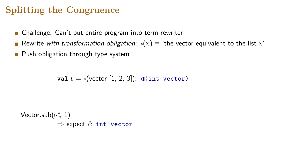- Challenge: Can't put entire program into term rewriter
- Rewrite with transformation obligation:  $\triangleleft(x) \equiv$  'the vector equivalent to the list x'
- **Push obligation through type system**

**val**  $\ell = \{$ **vector** [1, 2, 3]):  $\exists$  (int vector)

Vector.sub( $\nu$ , 1) ⇒ expect *`*: int vector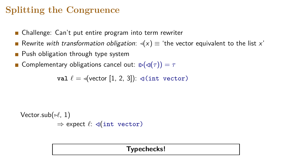- Challenge: Can't put entire program into term rewriter
- Rewrite with transformation obligation:  $\triangleleft(x) \equiv$  'the vector equivalent to the list x'
- **Push obligation through type system**
- **Complementary obligations cancel out:**  $\triangleright(\triangleleft(\tau)) = \tau$

**val**  $\ell = \sqrt{\text{vector} [1, 2, 3]}$ :  $\sqrt{\text{int vector}}$ 

Vector.sub( $\nu$ , 1)  $\Rightarrow$  expect  $\ell$ : **⊲**(int vector)

#### **Typechecks!**